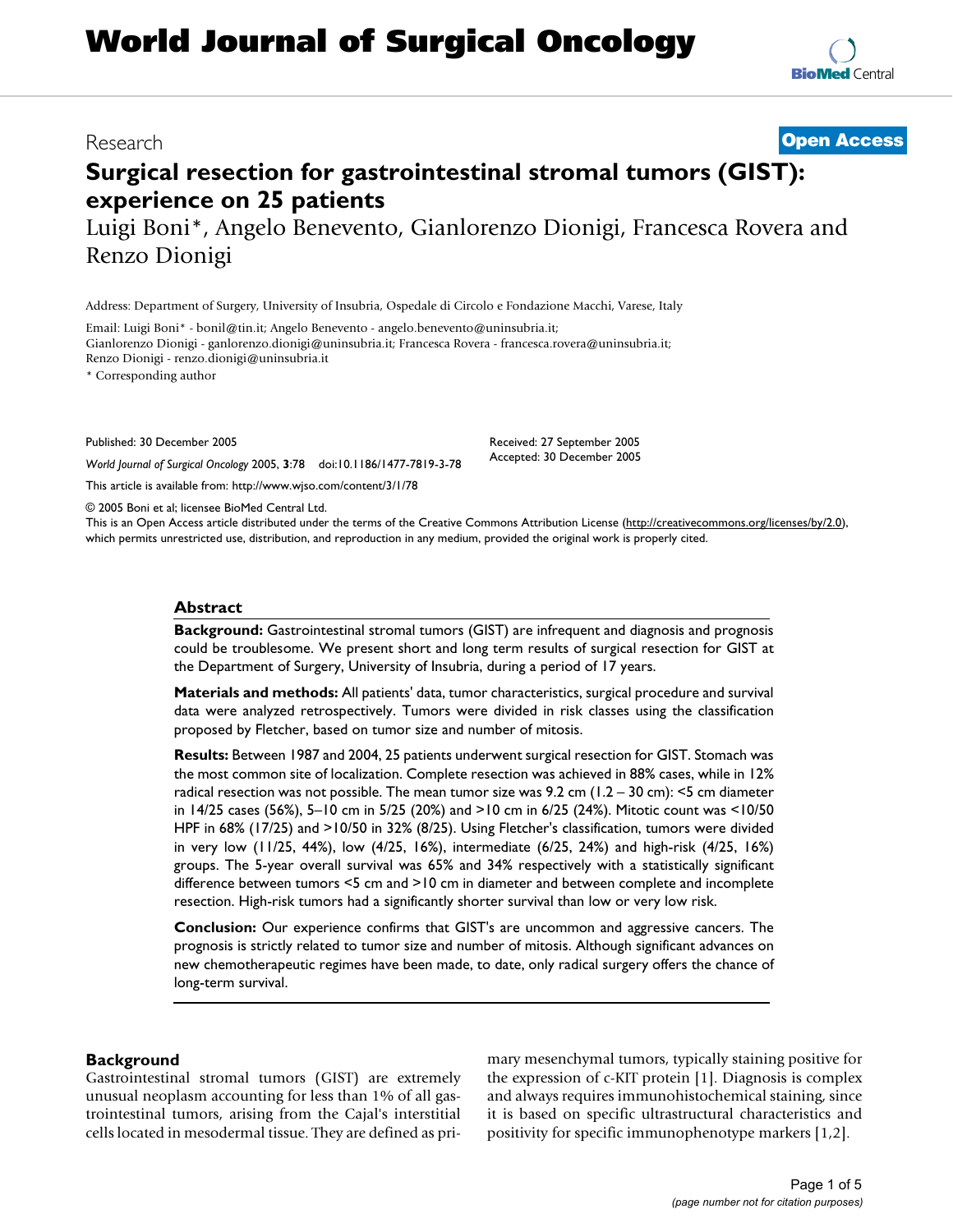# **World Journal of Surgical Oncology**

## **Surgical resection for gastrointestinal stromal tumors (GIST): experience on 25 patients**

Luigi Boni\*, Angelo Benevento, Gianlorenzo Dionigi, Francesca Rovera and Renzo Dionigi

Address: Department of Surgery, University of Insubria, Ospedale di Circolo e Fondazione Macchi, Varese, Italy

Email: Luigi Boni\* - bonil@tin.it; Angelo Benevento - angelo.benevento@uninsubria.it;

Gianlorenzo Dionigi - ganlorenzo.dionigi@uninsubria.it; Francesca Rovera - francesca.rovera@uninsubria.it; Renzo Dionigi - renzo.dionigi@uninsubria.it

\* Corresponding author

Published: 30 December 2005

*World Journal of Surgical Oncology* 2005, **3**:78 doi:10.1186/1477-7819-3-78

[This article is available from: http://www.wjso.com/content/3/1/78](http://www.wjso.com/content/3/1/78)

© 2005 Boni et al; licensee BioMed Central Ltd.

This is an Open Access article distributed under the terms of the Creative Commons Attribution License [\(http://creativecommons.org/licenses/by/2.0\)](http://creativecommons.org/licenses/by/2.0), which permits unrestricted use, distribution, and reproduction in any medium, provided the original work is properly cited.

#### **Abstract**

**Background:** Gastrointestinal stromal tumors (GIST) are infrequent and diagnosis and prognosis could be troublesome. We present short and long term results of surgical resection for GIST at the Department of Surgery, University of Insubria, during a period of 17 years.

**Materials and methods:** All patients' data, tumor characteristics, surgical procedure and survival data were analyzed retrospectively. Tumors were divided in risk classes using the classification proposed by Fletcher, based on tumor size and number of mitosis.

**Results:** Between 1987 and 2004, 25 patients underwent surgical resection for GIST. Stomach was the most common site of localization. Complete resection was achieved in 88% cases, while in 12% radical resection was not possible. The mean tumor size was 9.2 cm  $(1.2 - 30 \text{ cm})$ : <5 cm diameter in 14/25 cases (56%), 5–10 cm in 5/25 (20%) and >10 cm in 6/25 (24%). Mitotic count was <10/50 HPF in 68% (17/25) and >10/50 in 32% (8/25). Using Fletcher's classification, tumors were divided in very low (11/25, 44%), low (4/25, 16%), intermediate (6/25, 24%) and high-risk (4/25, 16%) groups. The 5-year overall survival was 65% and 34% respectively with a statistically significant difference between tumors <5 cm and >10 cm in diameter and between complete and incomplete resection. High-risk tumors had a significantly shorter survival than low or very low risk.

**Conclusion:** Our experience confirms that GIST's are uncommon and aggressive cancers. The prognosis is strictly related to tumor size and number of mitosis. Although significant advances on new chemotherapeutic regimes have been made, to date, only radical surgery offers the chance of long-term survival.

#### **Background**

Gastrointestinal stromal tumors (GIST) are extremely unusual neoplasm accounting for less than 1% of all gastrointestinal tumors, arising from the Cajal's interstitial cells located in mesodermal tissue. They are defined as primary mesenchymal tumors, typically staining positive for the expression of c-KIT protein [1]. Diagnosis is complex and always requires immunohistochemical staining, since it is based on specific ultrastructural characteristics and positivity for specific immunophenotype markers [1,2].

Received: 27 September 2005 Accepted: 30 December 2005

Research **[Open Access](http://www.biomedcentral.com/info/about/charter/)**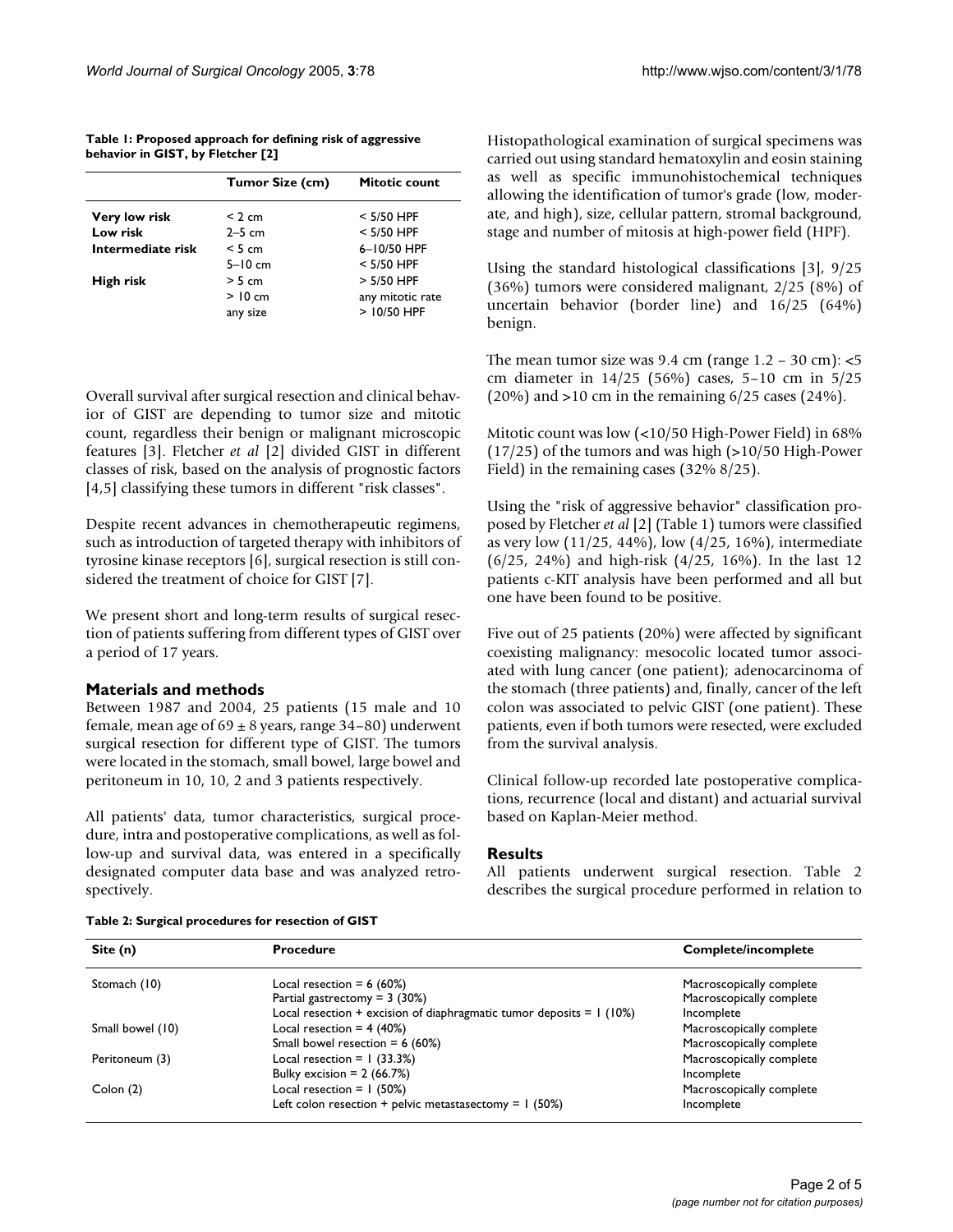**Table 1: Proposed approach for defining risk of aggressive behavior in GIST, by Fletcher [2]**

|                   | <b>Tumor Size (cm)</b> | Mitotic count    |
|-------------------|------------------------|------------------|
| Very low risk     | < 2 cm                 | $<$ 5/50 HPF     |
| Low risk          | $2-5$ cm               | $<$ 5/50 HPF     |
| Intermediate risk | $< 5 \text{ cm}$       | 6-10/50 HPF      |
|                   | $5-10$ cm              | $<$ 5/50 HPF     |
| High risk         | > 5 cm                 | $> 5/50$ HPF     |
|                   | $>10 \text{ cm}$       | any mitotic rate |
|                   | any size               | $>10/50$ HPF     |

Overall survival after surgical resection and clinical behavior of GIST are depending to tumor size and mitotic count, regardless their benign or malignant microscopic features [3]. Fletcher *et al* [2] divided GIST in different classes of risk, based on the analysis of prognostic factors [4,5] classifying these tumors in different "risk classes".

Despite recent advances in chemotherapeutic regimens, such as introduction of targeted therapy with inhibitors of tyrosine kinase receptors [6], surgical resection is still considered the treatment of choice for GIST [7].

We present short and long-term results of surgical resection of patients suffering from different types of GIST over a period of 17 years.

#### **Materials and methods**

Between 1987 and 2004, 25 patients (15 male and 10 female, mean age of  $69 \pm 8$  years, range 34–80) underwent surgical resection for different type of GIST. The tumors were located in the stomach, small bowel, large bowel and peritoneum in 10, 10, 2 and 3 patients respectively.

All patients' data, tumor characteristics, surgical procedure, intra and postoperative complications, as well as follow-up and survival data, was entered in a specifically designated computer data base and was analyzed retrospectively.

Histopathological examination of surgical specimens was carried out using standard hematoxylin and eosin staining as well as specific immunohistochemical techniques allowing the identification of tumor's grade (low, moderate, and high), size, cellular pattern, stromal background, stage and number of mitosis at high-power field (HPF).

Using the standard histological classifications [3], 9/25 (36%) tumors were considered malignant, 2/25 (8%) of uncertain behavior (border line) and 16/25 (64%) benign.

The mean tumor size was  $9.4 \text{ cm}$  (range  $1.2 - 30 \text{ cm}$ ):  $\lt 5$ cm diameter in 14/25 (56%) cases, 5–10 cm in 5/25  $(20\%)$  and >10 cm in the remaining  $6/25$  cases  $(24\%)$ .

Mitotic count was low (<10/50 High-Power Field) in 68% (17/25) of the tumors and was high (>10/50 High-Power Field) in the remaining cases (32% 8/25).

Using the "risk of aggressive behavior" classification proposed by Fletcher *et al* [2] (Table 1) tumors were classified as very low (11/25, 44%), low (4/25, 16%), intermediate (6/25, 24%) and high-risk (4/25, 16%). In the last 12 patients c-KIT analysis have been performed and all but one have been found to be positive.

Five out of 25 patients (20%) were affected by significant coexisting malignancy: mesocolic located tumor associated with lung cancer (one patient); adenocarcinoma of the stomach (three patients) and, finally, cancer of the left colon was associated to pelvic GIST (one patient). These patients, even if both tumors were resected, were excluded from the survival analysis.

Clinical follow-up recorded late postoperative complications, recurrence (local and distant) and actuarial survival based on Kaplan-Meier method.

#### **Results**

All patients underwent surgical resection. Table 2 describes the surgical procedure performed in relation to

| Site (n)         | <b>Procedure</b>                                                         | <b>Complete/incomplete</b> |
|------------------|--------------------------------------------------------------------------|----------------------------|
| Stomach (10)     | Local resection = $6(60%)$                                               | Macroscopically complete   |
|                  | Partial gastrectomy = $3(30%)$                                           | Macroscopically complete   |
|                  | Local resection $+$ excision of diaphragmatic tumor deposits $= 1$ (10%) | Incomplete                 |
| Small bowel (10) | Local resection = $4(40%)$                                               | Macroscopically complete   |
|                  | Small bowel resection = $6(60%)$                                         | Macroscopically complete   |
| Peritoneum (3)   | Local resection = $1$ (33.3%)                                            | Macroscopically complete   |
|                  | Bulky excision $= 2$ (66.7%)                                             | Incomplete                 |
| Colon $(2)$      | Local resection = $1(50%)$                                               | Macroscopically complete   |
|                  | Left colon resection + pelvic metastasectomy = $1$ (50%)                 | Incomplete                 |

#### **Table 2: Surgical procedures for resection of GIST**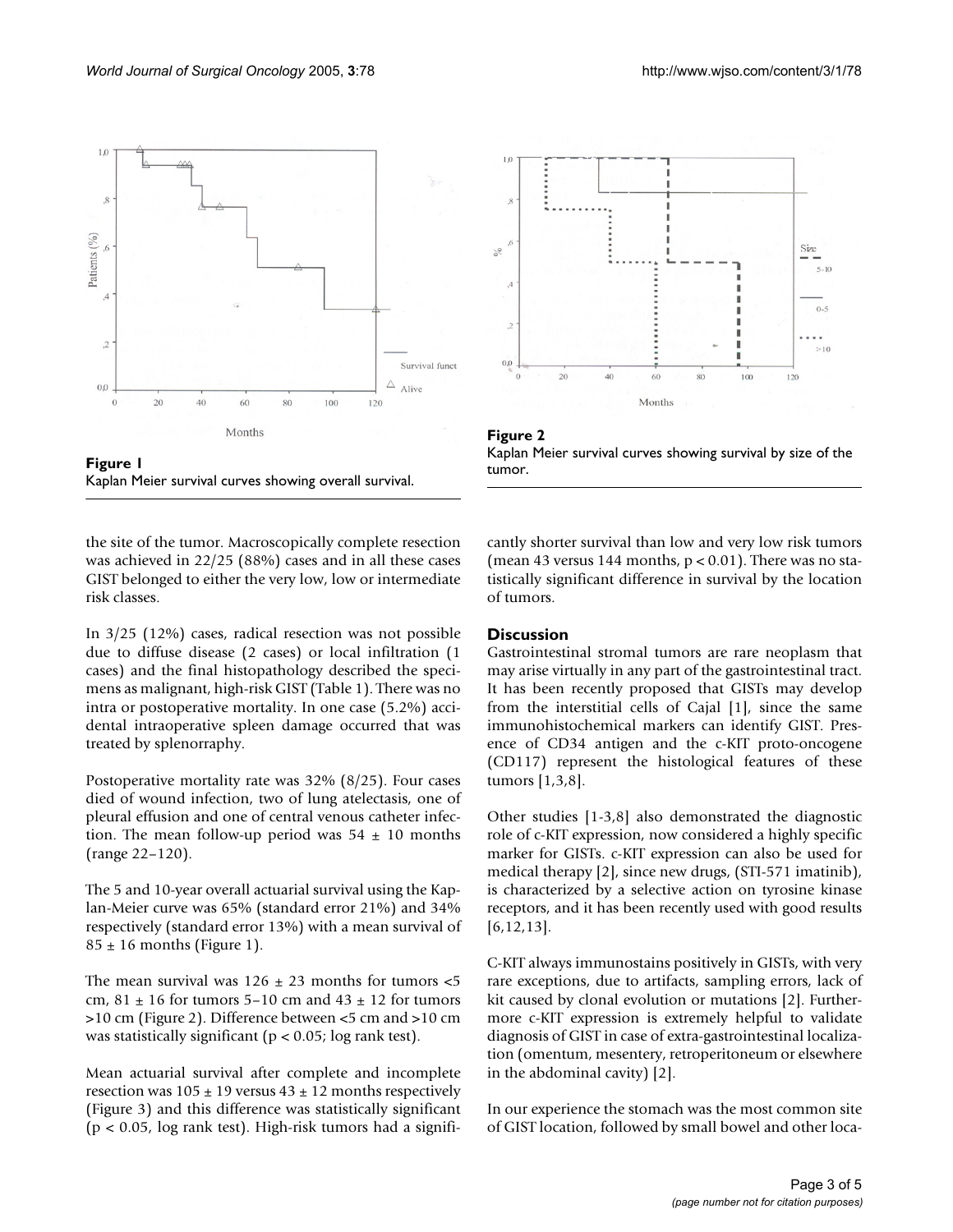

tumor. Kaplan Meier survival curves showing overall survival **Figure 1** Kaplan Meier survival curves showing overall survival.

the site of the tumor. Macroscopically complete resection was achieved in 22/25 (88%) cases and in all these cases GIST belonged to either the very low, low or intermediate risk classes.

In 3/25 (12%) cases, radical resection was not possible due to diffuse disease (2 cases) or local infiltration (1 cases) and the final histopathology described the specimens as malignant, high-risk GIST (Table 1). There was no intra or postoperative mortality. In one case (5.2%) accidental intraoperative spleen damage occurred that was treated by splenorraphy.

Postoperative mortality rate was 32% (8/25). Four cases died of wound infection, two of lung atelectasis, one of pleural effusion and one of central venous catheter infection. The mean follow-up period was  $54 \pm 10$  months (range 22–120).

The 5 and 10-year overall actuarial survival using the Kaplan-Meier curve was 65% (standard error 21%) and 34% respectively (standard error 13%) with a mean survival of  $85 \pm 16$  months (Figure 1).

The mean survival was  $126 \pm 23$  months for tumors  $\lt 5$ cm, 81  $\pm$  16 for tumors 5–10 cm and 43  $\pm$  12 for tumors >10 cm (Figure 2). Difference between <5 cm and >10 cm was statistically significant ( $p < 0.05$ ; log rank test).

Mean actuarial survival after complete and incomplete resection was  $105 \pm 19$  versus  $43 \pm 12$  months respectively (Figure 3) and this difference was statistically significant (p < 0.05, log rank test). High-risk tumors had a signifi-





cantly shorter survival than low and very low risk tumors (mean 43 versus 144 months,  $p < 0.01$ ). There was no statistically significant difference in survival by the location of tumors.

#### **Discussion**

Gastrointestinal stromal tumors are rare neoplasm that may arise virtually in any part of the gastrointestinal tract. It has been recently proposed that GISTs may develop from the interstitial cells of Cajal [1], since the same immunohistochemical markers can identify GIST. Presence of CD34 antigen and the c-KIT proto-oncogene (CD117) represent the histological features of these tumors [1,3,8].

Other studies [1-3,8] also demonstrated the diagnostic role of c-KIT expression, now considered a highly specific marker for GISTs. c-KIT expression can also be used for medical therapy [2], since new drugs, (STI-571 imatinib), is characterized by a selective action on tyrosine kinase receptors, and it has been recently used with good results [6,12,13].

C-KIT always immunostains positively in GISTs, with very rare exceptions, due to artifacts, sampling errors, lack of kit caused by clonal evolution or mutations [2]. Furthermore c-KIT expression is extremely helpful to validate diagnosis of GIST in case of extra-gastrointestinal localization (omentum, mesentery, retroperitoneum or elsewhere in the abdominal cavity) [2].

In our experience the stomach was the most common site of GIST location, followed by small bowel and other loca-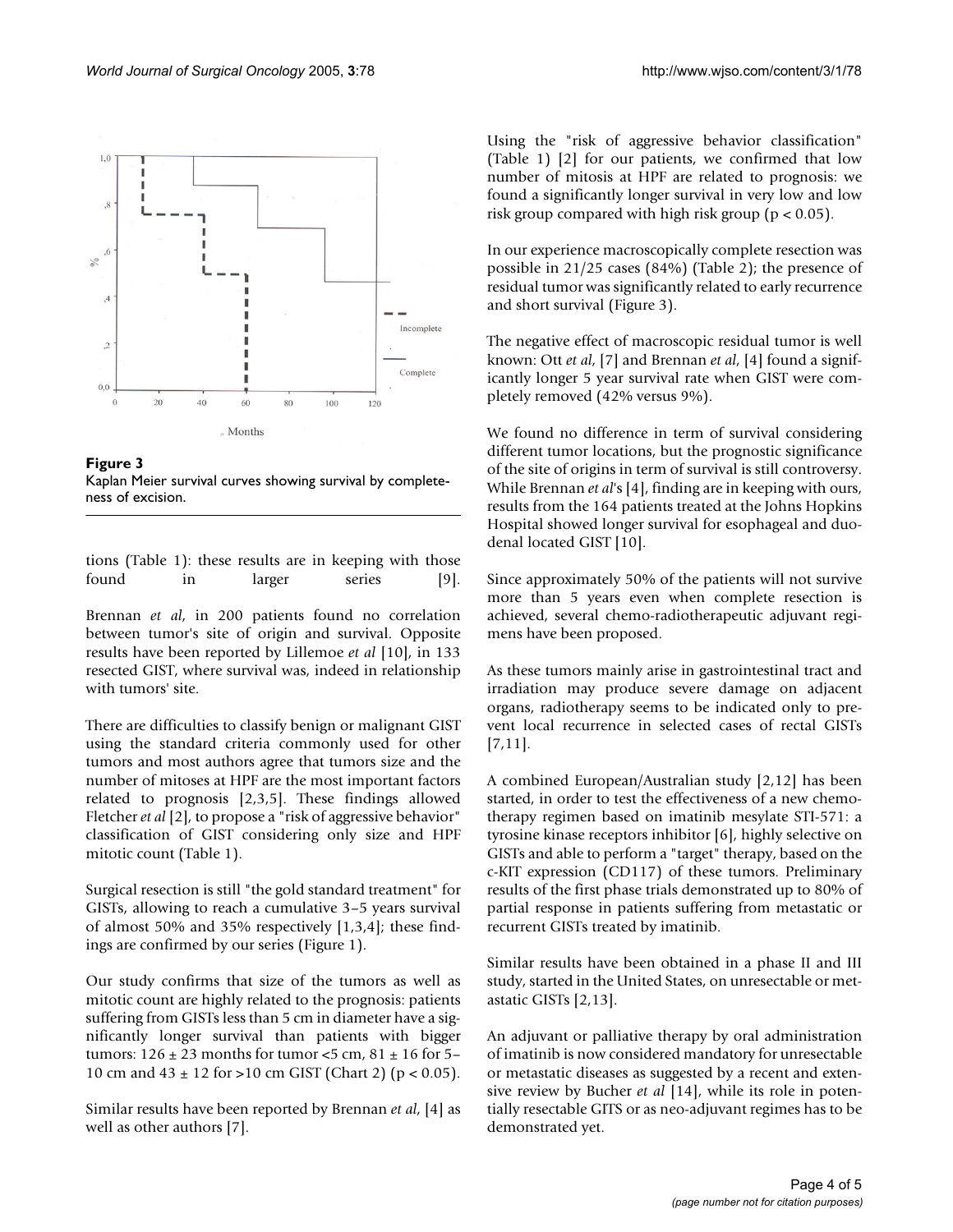

**Figure 3** Kaplan Meier survival curves showing survival by completeness of excision.

tions (Table 1): these results are in keeping with those found in larger series [9].

Brennan *et al*, in 200 patients found no correlation between tumor's site of origin and survival. Opposite results have been reported by Lillemoe *et al* [10], in 133 resected GIST, where survival was, indeed in relationship with tumors' site.

There are difficulties to classify benign or malignant GIST using the standard criteria commonly used for other tumors and most authors agree that tumors size and the number of mitoses at HPF are the most important factors related to prognosis [2,3,5]. These findings allowed Fletcher *et al* [2], to propose a "risk of aggressive behavior" classification of GIST considering only size and HPF mitotic count (Table 1).

Surgical resection is still "the gold standard treatment" for GISTs, allowing to reach a cumulative 3–5 years survival of almost 50% and 35% respectively [1,3,4]; these findings are confirmed by our series (Figure 1).

Our study confirms that size of the tumors as well as mitotic count are highly related to the prognosis: patients suffering from GISTs less than 5 cm in diameter have a significantly longer survival than patients with bigger tumors:  $126 \pm 23$  months for tumor <5 cm,  $81 \pm 16$  for 5– 10 cm and  $43 \pm 12$  for >10 cm GIST (Chart 2) (p < 0.05).

Similar results have been reported by Brennan *et al*, [4] as well as other authors [7].

Using the "risk of aggressive behavior classification" (Table 1) [2] for our patients, we confirmed that low number of mitosis at HPF are related to prognosis: we found a significantly longer survival in very low and low risk group compared with high risk group ( $p < 0.05$ ).

In our experience macroscopically complete resection was possible in 21/25 cases (84%) (Table 2); the presence of residual tumor was significantly related to early recurrence and short survival (Figure 3).

The negative effect of macroscopic residual tumor is well known: Ott *et al*, [7] and Brennan *et al*, [4] found a significantly longer 5 year survival rate when GIST were completely removed (42% versus 9%).

We found no difference in term of survival considering different tumor locations, but the prognostic significance of the site of origins in term of survival is still controversy. While Brennan *et al*'s [4], finding are in keeping with ours, results from the 164 patients treated at the Johns Hopkins Hospital showed longer survival for esophageal and duodenal located GIST [10].

Since approximately 50% of the patients will not survive more than 5 years even when complete resection is achieved, several chemo-radiotherapeutic adjuvant regimens have been proposed.

As these tumors mainly arise in gastrointestinal tract and irradiation may produce severe damage on adjacent organs, radiotherapy seems to be indicated only to prevent local recurrence in selected cases of rectal GISTs [7,11].

A combined European/Australian study [2,12] has been started, in order to test the effectiveness of a new chemotherapy regimen based on imatinib mesylate STI-571: a tyrosine kinase receptors inhibitor [6], highly selective on GISTs and able to perform a "target" therapy, based on the c-KIT expression (CD117) of these tumors. Preliminary results of the first phase trials demonstrated up to 80% of partial response in patients suffering from metastatic or recurrent GISTs treated by imatinib.

Similar results have been obtained in a phase II and III study, started in the United States, on unresectable or metastatic GISTs [2,13].

An adjuvant or palliative therapy by oral administration of imatinib is now considered mandatory for unresectable or metastatic diseases as suggested by a recent and extensive review by Bucher *et al* [14], while its role in potentially resectable GITS or as neo-adjuvant regimes has to be demonstrated yet.